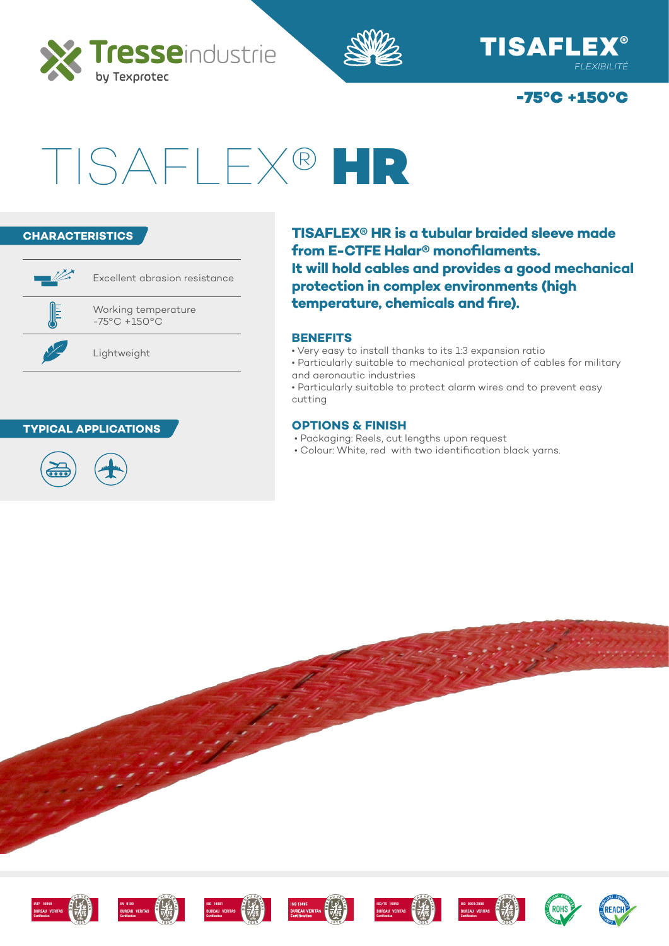







# TISAFLEX® HR



#### **TYPICAL APPLICATIONS**



**TISAFLEX® HR is a tubular braided sleeve made from E-CTFE Halar® monofilaments. It will hold cables and provides a good mechanical protection in complex environments (high temperature, chemicals and fire).**

#### **BENEFITS**

- Very easy to install thanks to its 1:3 expansion ratio
- Particularly suitable to mechanical protection of cables for military and aeronautic industries
- Particularly suitable to protect alarm wires and to prevent easy cutting

#### **OPTIONS & FINISH**

- Packaging: Reels, cut lengths upon request
- Colour: White, red with two identification black yarns.